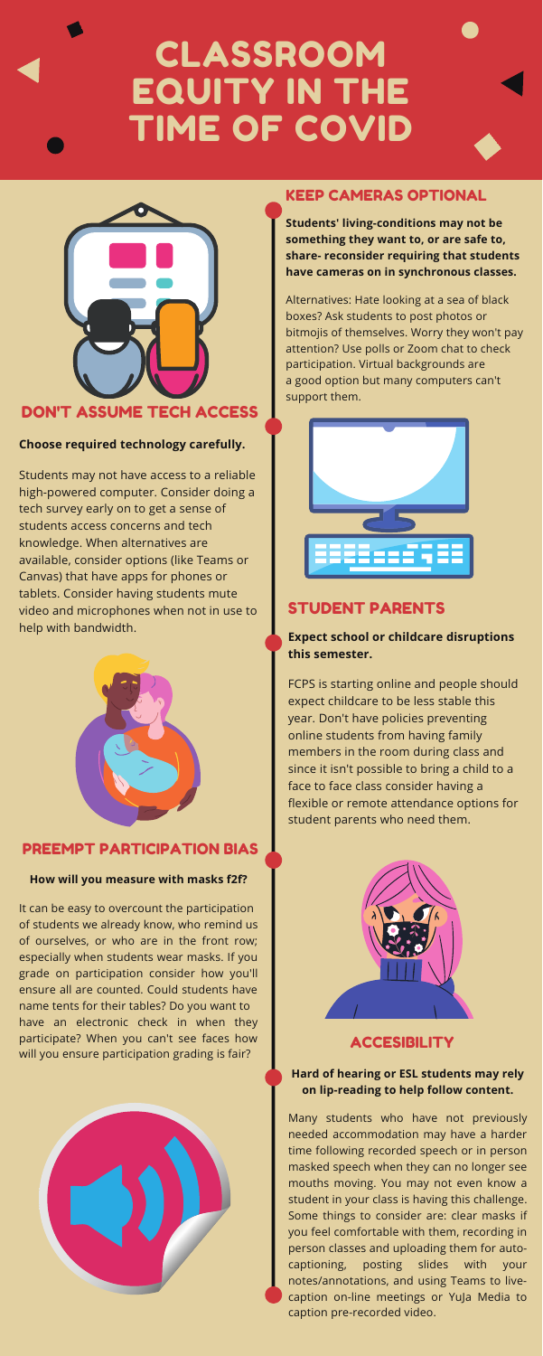# **CLASSROOM** EQUITY IN THE TIME OF COVID



# DON'T ASSUME TECH ACCESS

Students may not have access to a reliable high-powered computer. Consider doing a tech survey early on to get a sense of students access concerns and tech knowledge. When alternatives are available, consider options (like Teams or Canvas) that have apps for phones or tablets. Consider having students mute video and microphones when not in use to help with bandwidth.



#### **Choose required technology carefully.**

# KEEP CAMERAS OPTIONAL

Alternatives: Hate looking at a sea of black boxes? Ask students to post photos or bitmojis of themselves. Worry they won't pay attention? Use polls or Zoom chat to check participation. Virtual backgrounds are a good option but many computers can't support them.



**Students' living-conditions may not be something they want to, or are safe to, share- reconsider requiring that students have cameras on in synchronous classes.**

# STUDENT PARENTS

FCPS is starting online and people should expect childcare to be less stable this year. Don't have policies preventing online students from having family members in the room during class and since it isn't possible to bring a child to a face to face class consider having a flexible or remote attendance options for

student parents who need them.



**ACCESIBILITY** 

#### **Expect school or childcare disruptions this semester.**

## PREEMPT PARTICIPATION BIAS

It can be easy to overcount the participation of students we already know, who remind us of ourselves, or who are in the front row; especially when students wear masks. If you grade on participation consider how you'll ensure all are counted. Could students have name tents for their tables? Do you want to have an electronic check in when they participate? When you can't see faces how will you ensure participation grading is fair?



#### **How will you measure with masks f2f?**

Many students who have not previously needed accommodation may have a harder time following recorded speech or in person masked speech when they can no longer see mouths moving. You may not even know a student in your class is having this challenge. Some things to consider are: clear masks if you feel comfortable with them, recording in person classes and uploading them for autocaptioning, posting slides with your notes/annotations, and using Teams to livecaption on-line meetings or YuJa Media to caption pre-recorded video.

#### **Hard of hearing or ESL students may rely on lip-reading to help follow content.**